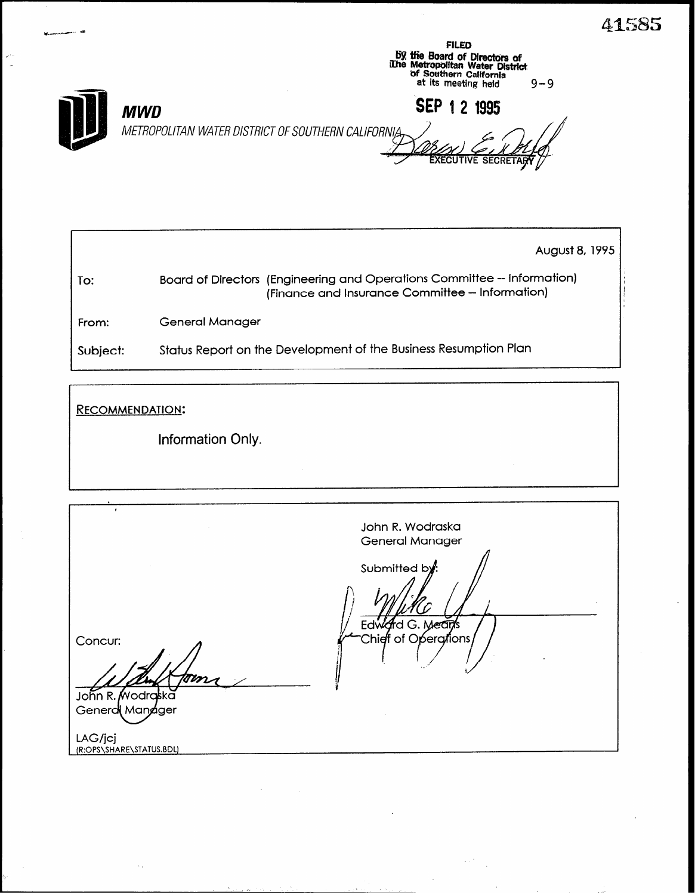41585



**FILED** 

|          | August 8, 1995                                                                                                              |  |
|----------|-----------------------------------------------------------------------------------------------------------------------------|--|
| To:      | Board of Directors (Engineering and Operations Committee -- Information)<br>(Finance and Insurance Committee - Information) |  |
| From:    | General Manager                                                                                                             |  |
| Subject: | Status Report on the Development of the Business Resumption Plan                                                            |  |

**RECOMMENDATION:** 

Information Only.

| ٠<br>John R. Wodraska<br>General Manager<br>Submitted by: | Edward G. Mean's<br>'Chieff of Operations,<br>Concur:<br>tom |                 |  |
|-----------------------------------------------------------|--------------------------------------------------------------|-----------------|--|
|                                                           | Generd Mandger<br>LAG/jcj<br>(R:OPS\SHARE\STATUS.BDL)        | John R. Wodraka |  |